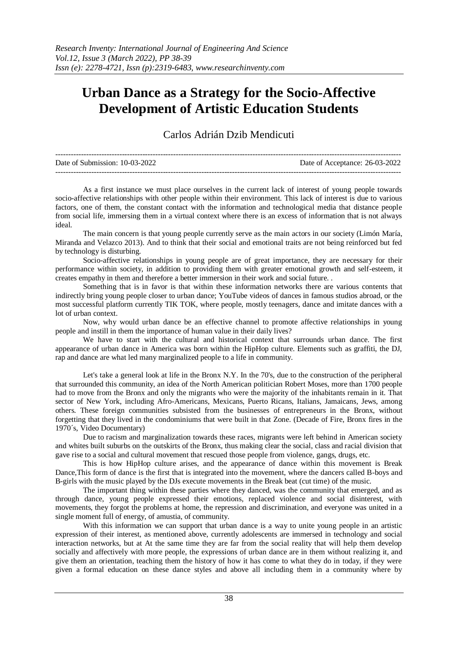## **Urban Dance as a Strategy for the Socio-Affective Development of Artistic Education Students**

Carlos Adrián Dzib Mendicuti

| Date of Submission: 10-03-2022 | Date of Acceptance: 26-03-2022 |
|--------------------------------|--------------------------------|
|                                |                                |

As a first instance we must place ourselves in the current lack of interest of young people towards socio-affective relationships with other people within their environment. This lack of interest is due to various factors, one of them, the constant contact with the information and technological media that distance people from social life, immersing them in a virtual context where there is an excess of information that is not always ideal.

The main concern is that young people currently serve as the main actors in our society (Limón María, Miranda and Velazco 2013). And to think that their social and emotional traits are not being reinforced but fed by technology is disturbing.

Socio-affective relationships in young people are of great importance, they are necessary for their performance within society, in addition to providing them with greater emotional growth and self-esteem, it creates empathy in them and therefore a better immersion in their work and social future. .

Something that is in favor is that within these information networks there are various contents that indirectly bring young people closer to urban dance; YouTube videos of dances in famous studios abroad, or the most successful platform currently TIK TOK, where people, mostly teenagers, dance and imitate dances with a lot of urban context.

Now, why would urban dance be an effective channel to promote affective relationships in young people and instill in them the importance of human value in their daily lives?

We have to start with the cultural and historical context that surrounds urban dance. The first appearance of urban dance in America was born within the HipHop culture. Elements such as graffiti, the DJ, rap and dance are what led many marginalized people to a life in community.

Let's take a general look at life in the Bronx N.Y. In the 70's, due to the construction of the peripheral that surrounded this community, an idea of the North American politician Robert Moses, more than 1700 people had to move from the Bronx and only the migrants who were the majority of the inhabitants remain in it. That sector of New York, including Afro-Americans, Mexicans, Puerto Ricans, Italians, Jamaicans, Jews, among others. These foreign communities subsisted from the businesses of entrepreneurs in the Bronx, without forgetting that they lived in the condominiums that were built in that Zone. (Decade of Fire, Bronx fires in the 1970´s, Video Documentary)

Due to racism and marginalization towards these races, migrants were left behind in American society and whites built suburbs on the outskirts of the Bronx, thus making clear the social, class and racial division that gave rise to a social and cultural movement that rescued those people from violence, gangs, drugs, etc.

This is how HipHop culture arises, and the appearance of dance within this movement is Break Dance,This form of dance is the first that is integrated into the movement, where the dancers called B-boys and B-girls with the music played by the DJs execute movements in the Break beat (cut time) of the music.

The important thing within these parties where they danced, was the community that emerged, and as through dance, young people expressed their emotions, replaced violence and social disinterest, with movements, they forgot the problems at home, the repression and discrimination, and everyone was united in a single moment full of energy, of amustia, of community.

With this information we can support that urban dance is a way to unite young people in an artistic expression of their interest, as mentioned above, currently adolescents are immersed in technology and social interaction networks, but at At the same time they are far from the social reality that will help them develop socially and affectively with more people, the expressions of urban dance are in them without realizing it, and give them an orientation, teaching them the history of how it has come to what they do in today, if they were given a formal education on these dance styles and above all including them in a community where by